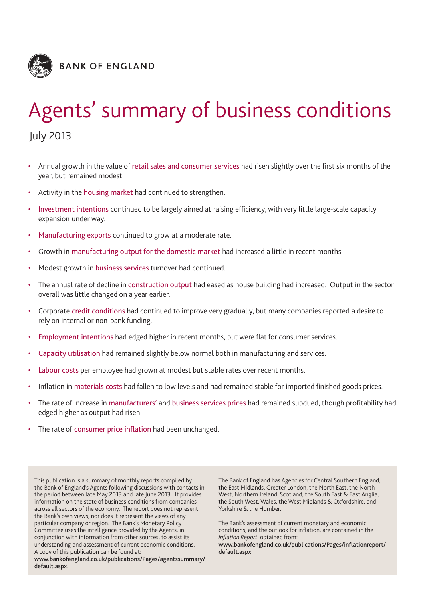

# Agents' summary of business conditions

July 2013

- Annual growth in the value of retail sales and consumer services had risen slightly over the first six months of the year, but remained modest.
- Activity in the housing market had continued to strengthen.
- Investment intentions continued to be largely aimed at raising efficiency, with very little large-scale capacity expansion under way.
- Manufacturing exports continued to grow at a moderate rate.
- Growth in manufacturing output for the domestic market had increased a little in recent months.
- Modest growth in business services turnover had continued.
- The annual rate of decline in construction output had eased as house building had increased. Output in the sector overall was little changed on a year earlier.
- Corporate credit conditions had continued to improve very gradually, but many companies reported a desire to rely on internal or non-bank funding.
- Employment intentions had edged higher in recent months, but were flat for consumer services.
- Capacity utilisation had remained slightly below normal both in manufacturing and services.
- Labour costs per employee had grown at modest but stable rates over recent months.
- Inflation in materials costs had fallen to low levels and had remained stable for imported finished goods prices.
- The rate of increase in manufacturers' and business services prices had remained subdued, though profitability had edged higher as output had risen.
- The rate of consumer price inflation had been unchanged.

This publication is a summary of monthly reports compiled by the Bank of England's Agents following discussions with contacts in the period between late May 2013 and late June 2013. It provides information on the state of business conditions from companies across all sectors of the economy. The report does not represent the Bank's own views, nor does it represent the views of any particular company or region. The Bank's Monetary Policy Committee uses the intelligence provided by the Agents, in conjunction with information from other sources, to assist its understanding and assessment of current economic conditions. A copy of this publication can be found at:

**www.bankofengland.co.uk/publications/Pages/agentssummary/ default.aspx.**

The Bank of England has Agencies for Central Southern England, the East Midlands, Greater London, the North East, the North West, Northern Ireland, Scotland, the South East & East Anglia, the South West, Wales, the West Midlands & Oxfordshire, and Yorkshire & the Humber.

The Bank's assessment of current monetary and economic conditions, and the outlook for inflation, are contained in the *Inflation Report*, obtained from:

**www.bankofengland.co.uk/publications/Pages/inflationreport/ default.aspx.**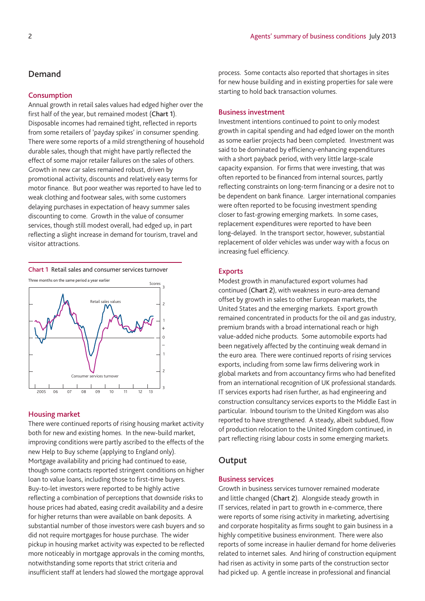## **Demand**

#### **Consumption**

Annual growth in retail sales values had edged higher over the first half of the year, but remained modest (**Chart 1**). Disposable incomes had remained tight, reflected in reports from some retailers of 'payday spikes' in consumer spending. There were some reports of a mild strengthening of household durable sales, though that might have partly reflected the effect of some major retailer failures on the sales of others. Growth in new car sales remained robust, driven by promotional activity, discounts and relatively easy terms for motor finance. But poor weather was reported to have led to weak clothing and footwear sales, with some customers delaying purchases in expectation of heavy summer sales discounting to come. Growth in the value of consumer services, though still modest overall, had edged up, in part reflecting a slight increase in demand for tourism, travel and visitor attractions.

**Chart 1** Retail sales and consumer services turnover



#### **Housing market**

There were continued reports of rising housing market activity both for new and existing homes. In the new-build market, improving conditions were partly ascribed to the effects of the new Help to Buy scheme (applying to England only). Mortgage availability and pricing had continued to ease, though some contacts reported stringent conditions on higher loan to value loans, including those to first-time buyers. Buy-to-let investors were reported to be highly active reflecting a combination of perceptions that downside risks to house prices had abated, easing credit availability and a desire for higher returns than were available on bank deposits. A substantial number of those investors were cash buyers and so did not require mortgages for house purchase. The wider pickup in housing market activity was expected to be reflected more noticeably in mortgage approvals in the coming months, notwithstanding some reports that strict criteria and insufficient staff at lenders had slowed the mortgage approval

process. Some contacts also reported that shortages in sites for new house building and in existing properties for sale were starting to hold back transaction volumes.

## **Business investment**

Investment intentions continued to point to only modest growth in capital spending and had edged lower on the month as some earlier projects had been completed. Investment was said to be dominated by efficiency-enhancing expenditures with a short payback period, with very little large-scale capacity expansion. For firms that were investing, that was often reported to be financed from internal sources, partly reflecting constraints on long-term financing or a desire not to be dependent on bank finance. Larger international companies were often reported to be focusing investment spending closer to fast-growing emerging markets. In some cases, replacement expenditures were reported to have been long-delayed. In the transport sector, however, substantial replacement of older vehicles was under way with a focus on increasing fuel efficiency.

#### **Exports**

Modest growth in manufactured export volumes had continued (**Chart 2**), with weakness in euro-area demand offset by growth in sales to other European markets, the United States and the emerging markets. Export growth remained concentrated in products for the oil and gas industry, premium brands with a broad international reach or high value-added niche products. Some automobile exports had been negatively affected by the continuing weak demand in the euro area. There were continued reports of rising services exports, including from some law firms delivering work in global markets and from accountancy firms who had benefited from an international recognition of UK professional standards. IT services exports had risen further, as had engineering and construction consultancy services exports to the Middle East in particular. Inbound tourism to the United Kingdom was also reported to have strengthened. A steady, albeit subdued, flow of production relocation to the United Kingdom continued, in part reflecting rising labour costs in some emerging markets.

## **Output**

## **Business services**

Growth in business services turnover remained moderate and little changed (**Chart 2**). Alongside steady growth in IT services, related in part to growth in e-commerce, there were reports of some rising activity in marketing, advertising and corporate hospitality as firms sought to gain business in a highly competitive business environment. There were also reports of some increase in haulier demand for home deliveries related to internet sales. And hiring of construction equipment had risen as activity in some parts of the construction sector had picked up. A gentle increase in professional and financial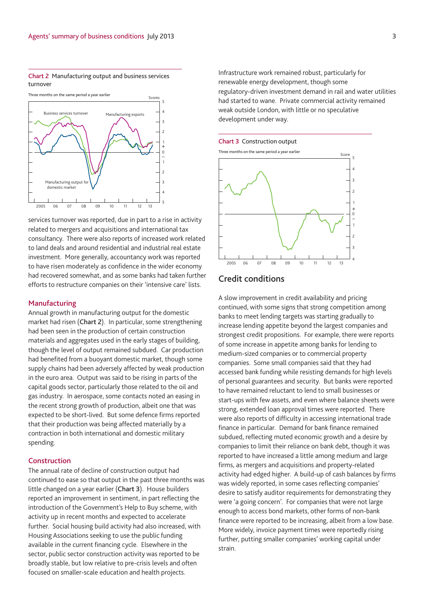**Chart 2** Manufacturing output and business services turnover



services turnover was reported, due in part to a rise in activity related to mergers and acquisitions and international tax consultancy. There were also reports of increased work related to land deals and around residential and industrial real estate investment. More generally, accountancy work was reported to have risen moderately as confidence in the wider economy had recovered somewhat, and as some banks had taken further efforts to restructure companies on their 'intensive care' lists.

## **Manufacturing**

Annual growth in manufacturing output for the domestic market had risen (**Chart 2**). In particular, some strengthening had been seen in the production of certain construction materials and aggregates used in the early stages of building, though the level of output remained subdued. Car production had benefited from a buoyant domestic market, though some supply chains had been adversely affected by weak production in the euro area. Output was said to be rising in parts of the capital goods sector, particularly those related to the oil and gas industry. In aerospace, some contacts noted an easing in the recent strong growth of production, albeit one that was expected to be short-lived. But some defence firms reported that their production was being affected materially by a contraction in both international and domestic military spending.

## **Construction**

The annual rate of decline of construction output had continued to ease so that output in the past three months was little changed on a year earlier (**Chart 3**). House builders reported an improvement in sentiment, in part reflecting the introduction of the Government's Help to Buy scheme, with activity up in recent months and expected to accelerate further. Social housing build activity had also increased, with Housing Associations seeking to use the public funding available in the current financing cycle. Elsewhere in the sector, public sector construction activity was reported to be broadly stable, but low relative to pre-crisis levels and often focused on smaller-scale education and health projects.

Infrastructure work remained robust, particularly for renewable energy development, though some regulatory-driven investment demand in rail and water utilities had started to wane. Private commercial activity remained weak outside London, with little or no speculative development under way.

#### **Chart 3** Construction output



# **Credit conditions**

A slow improvement in credit availability and pricing continued, with some signs that strong competition among banks to meet lending targets was starting gradually to increase lending appetite beyond the largest companies and strongest credit propositions. For example, there were reports of some increase in appetite among banks for lending to medium-sized companies or to commercial property companies. Some small companies said that they had accessed bank funding while resisting demands for high levels of personal guarantees and security. But banks were reported to have remained reluctant to lend to small businesses or start-ups with few assets, and even where balance sheets were strong, extended loan approval times were reported. There were also reports of difficulty in accessing international trade finance in particular. Demand for bank finance remained subdued, reflecting muted economic growth and a desire by companies to limit their reliance on bank debt, though it was reported to have increased a little among medium and large firms, as mergers and acquisitions and property-related activity had edged higher. A build-up of cash balances by firms was widely reported, in some cases reflecting companies' desire to satisfy auditor requirements for demonstrating they were 'a going concern'. For companies that were not large enough to access bond markets, other forms of non-bank finance were reported to be increasing, albeit from a low base. More widely, invoice payment times were reportedly rising further, putting smaller companies' working capital under strain.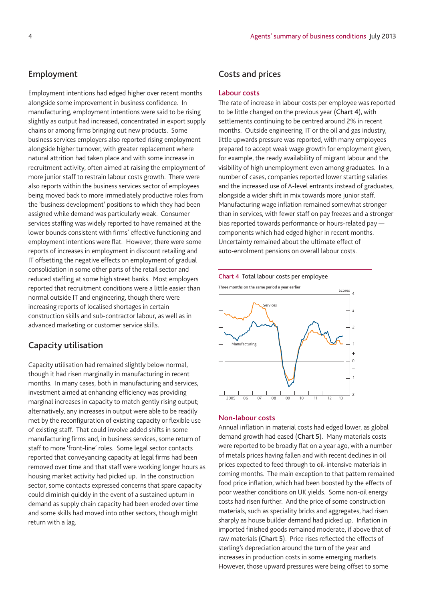# **Employment**

Employment intentions had edged higher over recent months alongside some improvement in business confidence. In manufacturing, employment intentions were said to be rising slightly as output had increased, concentrated in export supply chains or among firms bringing out new products. Some business services employers also reported rising employment alongside higher turnover, with greater replacement where natural attrition had taken place and with some increase in recruitment activity, often aimed at raising the employment of more junior staff to restrain labour costs growth. There were also reports within the business services sector of employees being moved back to more immediately productive roles from the 'business development' positions to which they had been assigned while demand was particularly weak. Consumer services staffing was widely reported to have remained at the lower bounds consistent with firms' effective functioning and employment intentions were flat. However, there were some reports of increases in employment in discount retailing and IT offsetting the negative effects on employment of gradual consolidation in some other parts of the retail sector and reduced staffing at some high street banks. Most employers reported that recruitment conditions were a little easier than normal outside IT and engineering, though there were increasing reports of localised shortages in certain construction skills and sub-contractor labour, as well as in advanced marketing or customer service skills.

# **Capacity utilisation**

Capacity utilisation had remained slightly below normal, though it had risen marginally in manufacturing in recent months. In many cases, both in manufacturing and services, investment aimed at enhancing efficiency was providing marginal increases in capacity to match gently rising output; alternatively, any increases in output were able to be readily met by the reconfiguration of existing capacity or flexible use of existing staff. That could involve added shifts in some manufacturing firms and, in business services, some return of staff to more 'front-line' roles. Some legal sector contacts reported that conveyancing capacity at legal firms had been removed over time and that staff were working longer hours as housing market activity had picked up. In the construction sector, some contacts expressed concerns that spare capacity could diminish quickly in the event of a sustained upturn in demand as supply chain capacity had been eroded over time and some skills had moved into other sectors, though might return with a lag.

# **Costs and prices**

## **Labour costs**

The rate of increase in labour costs per employee was reported to be little changed on the previous year (**Chart 4**), with settlements continuing to be centred around 2% in recent months. Outside engineering, IT or the oil and gas industry, little upwards pressure was reported, with many employees prepared to accept weak wage growth for employment given, for example, the ready availability of migrant labour and the visibility of high unemployment even among graduates. In a number of cases, companies reported lower starting salaries and the increased use of A-level entrants instead of graduates, alongside a wider shift in mix towards more junior staff. Manufacturing wage inflation remained somewhat stronger than in services, with fewer staff on pay freezes and a stronger bias reported towards performance or hours-related pay components which had edged higher in recent months. Uncertainty remained about the ultimate effect of auto-enrolment pensions on overall labour costs.



## **Non-labour costs**

Annual inflation in material costs had edged lower, as global demand growth had eased (**Chart 5**). Many materials costs were reported to be broadly flat on a year ago, with a number of metals prices having fallen and with recent declines in oil prices expected to feed through to oil-intensive materials in coming months. The main exception to that pattern remained food price inflation, which had been boosted by the effects of poor weather conditions on UK yields. Some non-oil energy costs had risen further. And the price of some construction materials, such as speciality bricks and aggregates, had risen sharply as house builder demand had picked up. Inflation in imported finished goods remained moderate, if above that of raw materials (**Chart 5**). Price rises reflected the effects of sterling's depreciation around the turn of the year and increases in production costs in some emerging markets. However, those upward pressures were being offset to some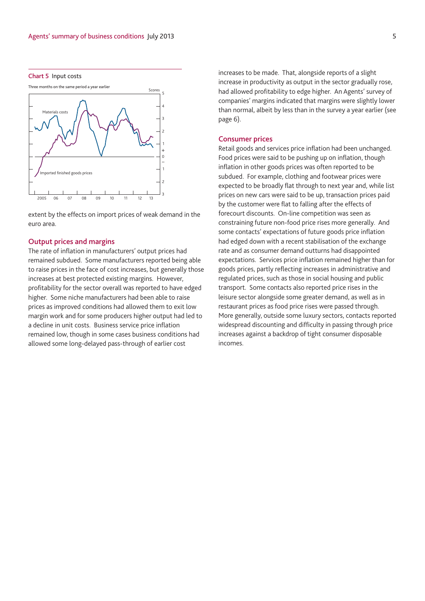

## **Consumer prices**

Retail goods and services price inflation had been unchanged. Food prices were said to be pushing up on inflation, though inflation in other goods prices was often reported to be subdued. For example, clothing and footwear prices were expected to be broadly flat through to next year and, while list prices on new cars were said to be up, transaction prices paid by the customer were flat to falling after the effects of forecourt discounts. On-line competition was seen as constraining future non-food price rises more generally. And some contacts' expectations of future goods price inflation had edged down with a recent stabilisation of the exchange rate and as consumer demand outturns had disappointed expectations. Services price inflation remained higher than for goods prices, partly reflecting increases in administrative and regulated prices, such as those in social housing and public transport. Some contacts also reported price rises in the leisure sector alongside some greater demand, as well as in restaurant prices as food price rises were passed through. More generally, outside some luxury sectors, contacts reported widespread discounting and difficulty in passing through price increases against a backdrop of tight consumer disposable incomes.

#### **Chart 5** Input costs



extent by the effects on import prices of weak demand in the euro area.

## **Output prices and margins**

The rate of inflation in manufacturers' output prices had remained subdued. Some manufacturers reported being able to raise prices in the face of cost increases, but generally those increases at best protected existing margins. However, profitability for the sector overall was reported to have edged higher. Some niche manufacturers had been able to raise prices as improved conditions had allowed them to exit low margin work and for some producers higher output had led to a decline in unit costs. Business service price inflation remained low, though in some cases business conditions had allowed some long-delayed pass-through of earlier cost